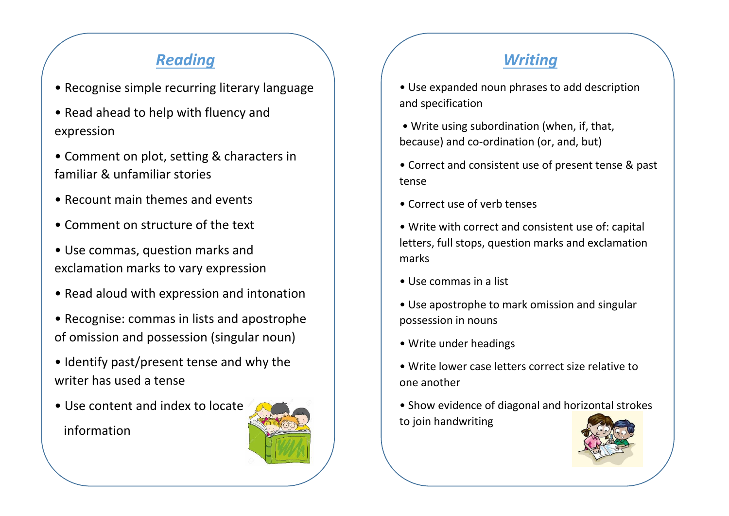## *Reading Writing*

- Recognise simple recurring literary language
- Read ahead to help with fluency and expression
- Comment on plot, setting & characters in familiar & unfamiliar stories
- Recount main themes and events
- Comment on structure of the text
- Use commas, question marks and exclamation marks to vary expression
- Read aloud with expression and intonation
- Recognise: commas in lists and apostrophe of omission and possession (singular noun)
- Identify past/present tense and why the writer has used a tense
- Use content and index to locate information



• Use expanded noun phrases to add description and specification

- Write using subordination (when, if, that, because) and co-ordination (or, and, but)
- Correct and consistent use of present tense & past tense
- Correct use of verb tenses
- Write with correct and consistent use of: capital letters, full stops, question marks and exclamation marks
- Use commas in a list
- Use apostrophe to mark omission and singular possession in nouns
- Write under headings
- Write lower case letters correct size relative to one another
- Show evidence of diagonal and horizontal strokes to join handwriting